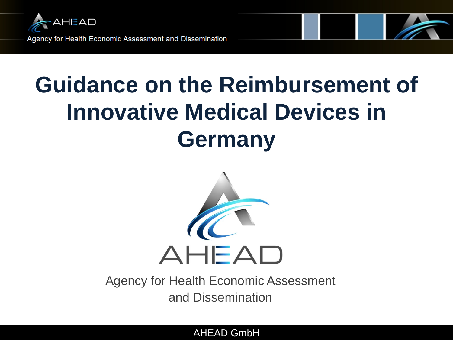

# **Guidance on the Reimbursement of Innovative Medical Devices in Germany**



Agency for Health Economic Assessment and Dissemination

AHEAD GmbH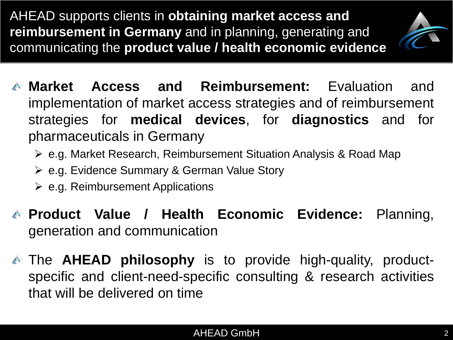AHEAD supports clients in **obtaining market access and reimbursement in Germany** and in planning, generating and communicating the **product value / health economic evidence** 



- **Market Access and Reimbursement:** Evaluation and implementation of market access strategies and of reimbursement strategies for **medical devices**, for **diagnostics** and for pharmaceuticals in Germany
	- e.g. Market Research, Reimbursement Situation Analysis & Road Map
	- e.g. Evidence Summary & German Value Story
	- $\triangleright$  e.g. Reimbursement Applications
- **Product Value / Health Economic Evidence:** Planning, generation and communication
- The **AHEAD philosophy** is to provide high-quality, productspecific and client-need-specific consulting & research activities that will be delivered on time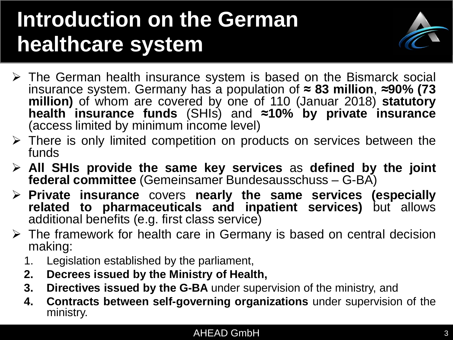## **Introduction on the German healthcare system**



- The German health insurance system is based on the Bismarck social insurance system. Germany has a population of **≈ 83 million**, **≈90% (73 million)** of whom are covered by one of 110 (Januar 2018) **statutory health insurance funds** (SHIs) and **≈10% by private insurance** (access limited by minimum income level)
- $\triangleright$  There is only limited competition on products on services between the funds
- **All SHIs provide the same key services** as **defined by the joint federal committee** (Gemeinsamer Bundesausschuss – G-BA)
- **Private insurance** covers **nearly the same services (especially related to pharmaceuticals and inpatient services)** but allows additional benefits (e.g. first class service)
- $\triangleright$  The framework for health care in Germany is based on central decision making:
	- 1. Legislation established by the parliament,
	- **2. Decrees issued by the Ministry of Health,**
	- **3. Directives issued by the G-BA** under supervision of the ministry, and
	- **4. Contracts between self-governing organizations** under supervision of the ministry.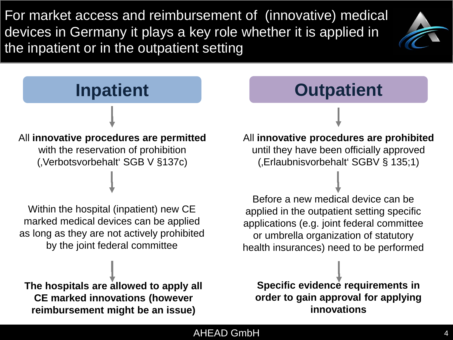For market access and reimbursement of (innovative) medical devices in Germany it plays a key role whether it is applied in the inpatient or in the outpatient setting



## **Inpatient** All **innovative procedures are permitted** with the reservation of prohibition (Verbotsvorbehalt' SGB V §137c)

Within the hospital (inpatient) new CE marked medical devices can be applied as long as they are not actively prohibited by the joint federal committee

**The hospitals are allowed to apply all CE marked innovations (however reimbursement might be an issue)**

**Outpatient**

All **innovative procedures are prohibited**  until they have been officially approved (Erlaubnisvorbehalt' SGBV § 135;1)

Before a new medical device can be applied in the outpatient setting specific applications (e.g. joint federal committee or umbrella organization of statutory health insurances) need to be performed

**Specific evidence requirements in order to gain approval for applying innovations**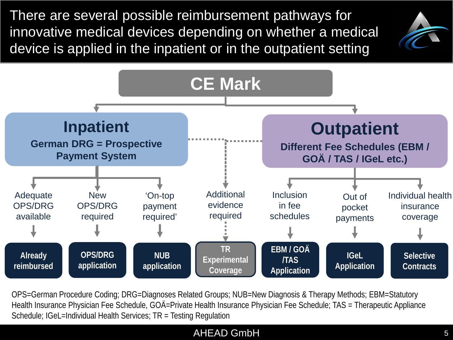There are several possible reimbursement pathways for innovative medical devices depending on whether a medical device is applied in the inpatient or in the outpatient setting





OPS=German Procedure Coding; DRG=Diagnoses Related Groups; NUB=New Diagnosis & Therapy Methods; EBM=Statutory Health Insurance Physician Fee Schedule, GOÄ=Private Health Insurance Physician Fee Schedule; TAS = Therapeutic Appliance Schedule; IGeL=Individual Health Services; TR = Testing Regulation

#### AHEAD GmbH 5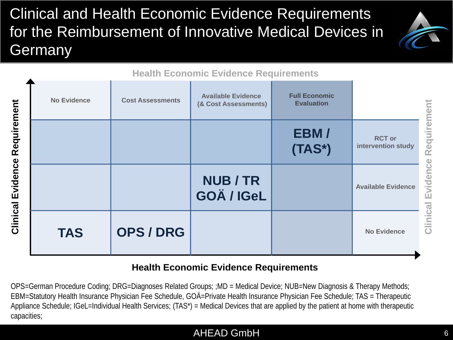## Clinical and Health Economic Evidence Requirements for the Reimbursement of Innovative Medical Devices in Germany

**No Evidence Available Evidence**



|                                      | <b>No Evidence</b> | <b>Cost Assessments</b> |
|--------------------------------------|--------------------|-------------------------|
|                                      |                    |                         |
| <b>Clinical Evidence Requirement</b> |                    |                         |
|                                      | <b>TAS</b>         | <b>OPS/DRG</b>          |

#### **Health Economic Evidence Requirements**

**(Available Evidence | Cost Assessments Cost Assessments Full Economic** 

**Evaluation**

**EBM /** 

**(TAS\*)**

#### **Health Economic Evidence Requirements**

**NUB / TR** 

**GOÄ / IGeL**

OPS=German Procedure Coding; DRG=Diagnoses Related Groups; ;MD = Medical Device; NUB=New Diagnosis & Therapy Methods; EBM=Statutory Health Insurance Physician Fee Schedule, GOÄ=Private Health Insurance Physician Fee Schedule; TAS = Therapeutic Appliance Schedule; IGeL=Individual Health Services; (TAS\*) = Medical Devices that are applied by the patient at home with therapeutic capacities;

#### AHEAD GmbH 6

**No Evidence**

**Available Evidence**

**RCT or intervention study**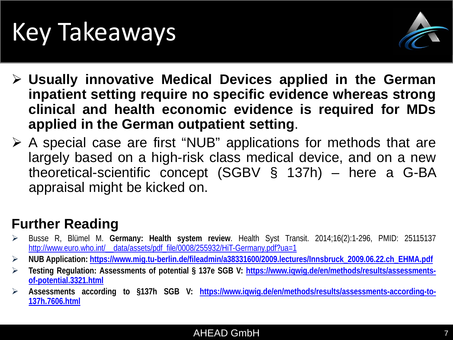# Key Takeaways



- **Usually innovative Medical Devices applied in the German inpatient setting require no specific evidence whereas strong clinical and health economic evidence is required for MDs applied in the German outpatient setting**.
- $\triangleright$  A special case are first "NUB" applications for methods that are largely based on a high-risk class medical device, and on a new theoretical-scientific concept (SGBV § 137h) – here a G-BA appraisal might be kicked on.

## **Further Reading**

- Busse R, Blümel M. **Germany: Health system review**. Health Syst Transit. 2014;16(2):1-296, PMID: 25115137 http://www.euro.who.int/ data/assets/pdf\_file/0008/255932/HiT-Germany.pdf?ua=1
- **NUB Application: [https://www.mig.tu-berlin.de/fileadmin/a38331600/2009.lectures/Innsbruck\\_2009.06.22.ch\\_EHMA.pdf](https://www.mig.tu-berlin.de/fileadmin/a38331600/2009.lectures/Innsbruck_2009.06.22.ch_EHMA.pdf)**
- **Testing Regulation: Assessments of potential § 137e SGB V: [https://www.iqwig.de/en/methods/results/assessments](https://www.iqwig.de/en/methods/results/assessments-of-potential.3321.html)[of-potential.3321.html](https://www.iqwig.de/en/methods/results/assessments-of-potential.3321.html)**
- **Assessments according to §137h SGB V: [https://www.iqwig.de/en/methods/results/assessments-according-to-](https://www.iqwig.de/en/methods/results/assessments-according-to-137h.7606.html)[137h.7606.html](https://www.iqwig.de/en/methods/results/assessments-according-to-137h.7606.html)**